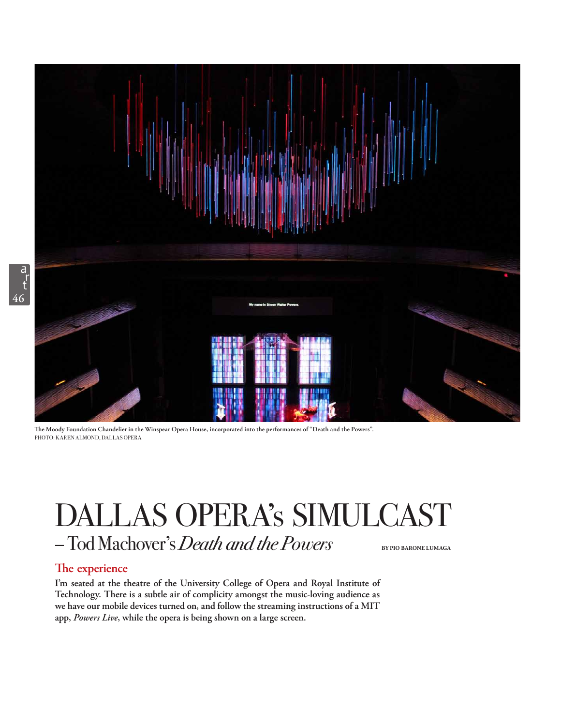

**Te Moody Foundation Chandelier in the Winspear Opera House, incorporated into the performances of "Death and the Powers".**  PHOTO: KAREN ALMOND, DALLAS OPERA

## DALLAS OPERA's SIMULCAST – Tod Machover's *Death and the Powers* **BY PIO BARONE LUMAGA**

## **The experience**

**I'm seated at the theatre of the University College of Opera and Royal Institute of Technology. There is a subtle air of complicity amongst the music-loving audience as we have our mobile devices turned on, and follow the streaming instructions of a MIT app,** *Powers Live***, while the opera is being shown on a large screen.**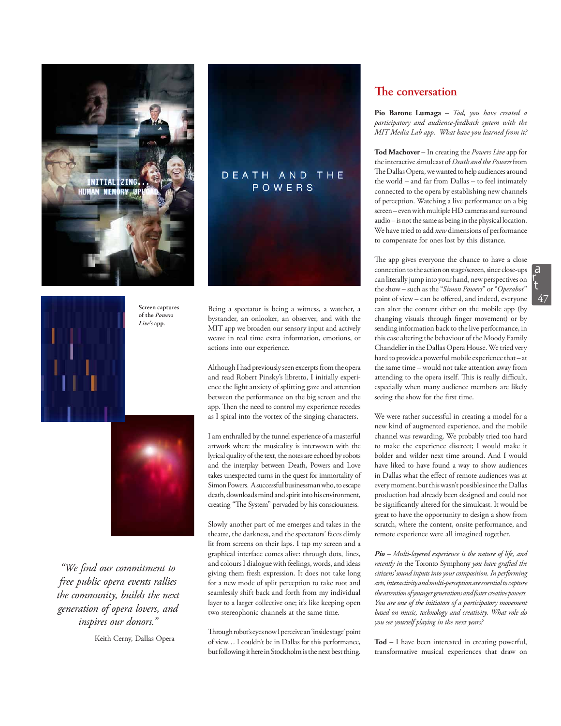

**Screen captures of the** *Powers Live's* **app.**



*"We fnd our commitment to free public opera events rallies the community, builds the next generation of opera lovers, and inspires our donors."* 

Keith Cerny, Dallas Opera



Being a spectator is being a witness, a watcher, a bystander, an onlooker, an observer, and with the MIT app we broaden our sensory input and actively weave in real time extra information, emotions, or actions into our experience.

Although I had previously seen excerpts from the opera and read Robert Pinsky's libretto, I initially experience the light anxiety of splitting gaze and attention between the performance on the big screen and the app. Then the need to control my experience recedes as I spiral into the vortex of the singing characters.

I am enthralled by the tunnel experience of a masterful artwork where the musicality is interwoven with the lyrical quality of the text, the notes are echoed by robots and the interplay between Death, Powers and Love takes unexpected turns in the quest for immortality of Simon Powers. A successful businessman who, to escape death, downloads mind and spirit into his environment, creating "The System" pervaded by his consciousness.

Slowly another part of me emerges and takes in the theatre, the darkness, and the spectators' faces dimly lit from screens on their laps. I tap my screen and a graphical interface comes alive: through dots, lines, and colours I dialogue with feelings, words, and ideas giving them fresh expression. It does not take long for a new mode of split perception to take root and seamlessly shift back and forth from my individual layer to a larger collective one; it's like keeping open two stereophonic channels at the same time.

Through robot's eyes now I perceive an 'inside stage' point of view… I couldn't be in Dallas for this performance, but following it here in Stockholm is the next best thing.

## **The conversation**

**Pio Barone Lumaga** *– Tod, you have created a participatory and audience-feedback system with the MIT Media Lab app. What have you learned from it?*

**Tod Machover** – In creating the *Powers Live* app for the interactive simulcast of *Death and the Powers*from The Dallas Opera, we wanted to help audiences around the world *–* and far from Dallas *–* to feel intimately connected to the opera by establishing new channels of perception. Watching a live performance on a big screen – even with multiple HD cameras and surround audio – is not the same as being in the physical location. We have tried to add *new* dimensions of performance to compensate for ones lost by this distance.

The app gives everyone the chance to have a close connection to the action on stage/screen, since close-ups can literally jump into your hand, new perspectives on the show – such as the "*Simon Powers*" or "*Operabot*" point of view – can be ofered, and indeed, everyone can alter the content either on the mobile app (by changing visuals through fnger movement) or by sending information back to the live performance, in this case altering the behaviour of the Moody Family Chandelier in the Dallas Opera House. We tried very hard to provide a powerful mobile experience that – at the same time – would not take attention away from attending to the opera itself. This is really difficult, especially when many audience members are likely seeing the show for the frst time.

We were rather successful in creating a model for a new kind of augmented experience, and the mobile channel was rewarding. We probably tried too hard to make the experience discreet; I would make it bolder and wilder next time around. And I would have liked to have found a way to show audiences in Dallas what the efect of remote audiences was at every moment, but this wasn't possible since the Dallas production had already been designed and could not be signifcantly altered for the simulcast. It would be great to have the opportunity to design a show from scratch, where the content, onsite performance, and remote experience were all imagined together.

*Pio – Multi-layered experience is the nature of life, and recently in* the Toronto Symphony *you have grafted the citizens' sound inputs into your composition. In performing arts, interactivity and multi-perception are essential to capture the attention of younger generations and foster creative powers. You are one of the initiators of a participatory movement based on music, technology and creativity. What role do you see yourself playing in the next years?*

**Tod** – I have been interested in creating powerful, transformative musical experiences that draw on